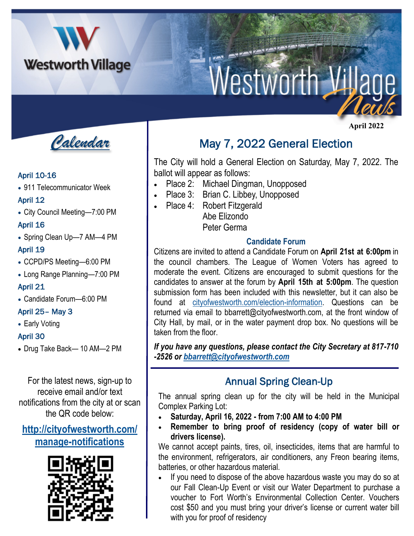

# Westworth Vil

*Calendar*

#### April 10-16

• 911 Telecommunicator Week

#### April 12

• City Council Meeting—7:00 PM

#### April 16

• Spring Clean Up—7 AM—4 PM

## April 19

- CCPD/PS Meeting—6:00 PM
- Long Range Planning—7:00 PM

## April 21

• Candidate Forum—6:00 PM

## April 25– May 3

• Early Voting

## April 30

• Drug Take Back— 10 AM—2 PM

For the latest news, sign-up to receive email and/or text notifications from the city at or scan the QR code below:

## **[http://cityofwestworth.com/](http://cityofwestworth.com/manage-notifications) [manage-notifications](http://cityofwestworth.com/manage-notifications)**



## May 7, 2022 General Election

The City will hold a General Election on Saturday, May 7, 2022. The ballot will appear as follows:

- Place 2: Michael Dingman, Unopposed
- Place 3: Brian C. Libbey, Unopposed
- Place 4: Robert Fitzgerald Abe Elizondo

Peter Germa

## **Candidate Forum**

Citizens are invited to attend a Candidate Forum on **April 21st at 6:00pm** in the council chambers. The League of Women Voters has agreed to moderate the event. Citizens are encouraged to submit questions for the candidates to answer at the forum by **April 15th at 5:00pm**. The question submission form has been included with this newsletter, but it can also be found at [cityofwestworth.com/election-information.](cityofwestworth.com/election-information) Questions can be returned via email to bbarrett@cityofwestworth.com, at the front window of City Hall, by mail, or in the water payment drop box. No questions will be taken from the floor.

*If you have any questions, please contact the City Secretary at 817-710 -2526 or [bbarrett@cityofwestworth.com](mailto:bbarrett@cityofwestworth.com)*

## Annual Spring Clean-Up

The annual spring clean up for the city will be held in the Municipal Complex Parking Lot:

- **Saturday, April 16, 2022 - from 7:00 AM to 4:00 PM**
- **Remember to bring proof of residency (copy of water bill or drivers license).**

We cannot accept paints, tires, oil, insecticides, items that are harmful to the environment, refrigerators, air conditioners, any Freon bearing items, batteries, or other hazardous material.

• If you need to dispose of the above hazardous waste you may do so at our Fall Clean-Up Event or visit our Water Department to purchase a voucher to Fort Worth's Environmental Collection Center. Vouchers cost \$50 and you must bring your driver's license or current water bill with you for proof of residency

 **April 2022**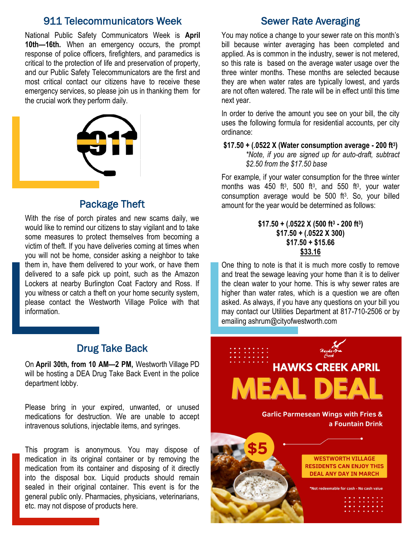## 911 Telecommunicators Week

National Public Safety Communicators Week is **April 10th—16th.** When an emergency occurs, the prompt response of police officers, firefighters, and paramedics is critical to the protection of life and preservation of property, and our Public Safety Telecommunicators are the first and most critical contact our citizens have to receive these emergency services, so please join us in thanking them for the crucial work they perform daily.



## Package Theft

With the rise of porch pirates and new scams daily, we would like to remind our citizens to stay vigilant and to take some measures to protect themselves from becoming a victim of theft. If you have deliveries coming at times when you will not be home, consider asking a neighbor to take them in, have them delivered to your work, or have them delivered to a safe pick up point, such as the Amazon Lockers at nearby Burlington Coat Factory and Ross. If you witness or catch a theft on your home security system, please contact the Westworth Village Police with that information.

## Drug Take Back

On **April 30th, from 10 AM—2 PM,** Westworth Village PD will be hosting a DEA Drug Take Back Event in the police department lobby.

Please bring in your expired, unwanted, or unused medications for destruction. We are unable to accept intravenous solutions, injectable items, and syringes.

This program is anonymous. You may dispose of medication in its original container or by removing the medication from its container and disposing of it directly into the disposal box. Liquid products should remain sealed in their original container. This event is for the general public only. Pharmacies, physicians, veterinarians, etc. may not dispose of products here.

## Sewer Rate Averaging

You may notice a change to your sewer rate on this month's bill because winter averaging has been completed and applied. As is common in the industry, sewer is not metered, so this rate is based on the average water usage over the three winter months. These months are selected because they are when water rates are typically lowest, and yards are not often watered. The rate will be in effect until this time next year.

In order to derive the amount you see on your bill, the city uses the following formula for residential accounts, per city ordinance:

**\$17.50 + (.0522 X (Water consumption average - 200 ft<sup>3</sup> )** *\*Note, if you are signed up for auto-draft, subtract \$2.50 from the \$17.50 base*

For example, if your water consumption for the three winter months was  $450$  ft<sup>3</sup>,  $500$  ft<sup>3</sup>, and  $550$  ft<sup>3</sup>, your water consumption average would be  $500$  ft<sup>3</sup>. So, your billed amount for the year would be determined as follows:

#### **\$17.50 + (.0522 X (500 ft<sup>3</sup> - 200 ft<sup>3</sup> ) \$17.50 + (.0522 X 300) \$17.50 + \$15.66 \$33.16**

One thing to note is that it is much more costly to remove and treat the sewage leaving your home than it is to deliver the clean water to your home. This is why sewer rates are higher than water rates, which is a question we are often asked. As always, if you have any questions on your bill you may contact our Utilities Department at 817-710-2506 or by emailing ashrum@cityofwestworth.com